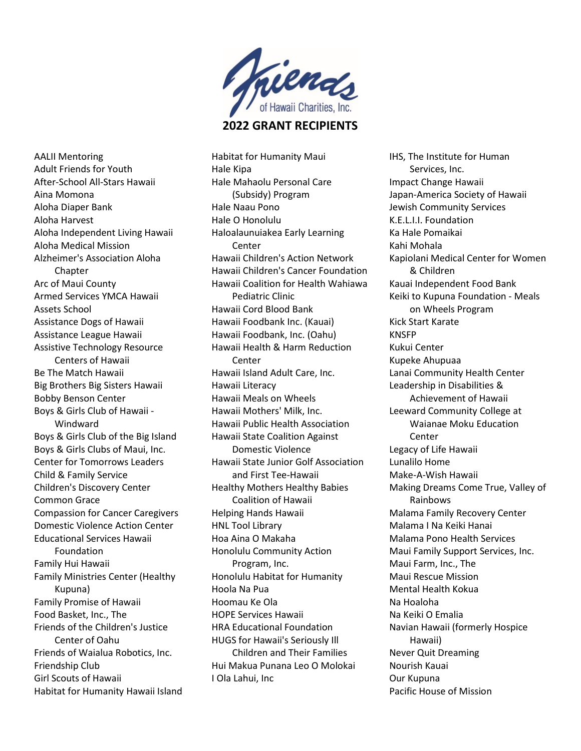

2022 GRANT RECIPIENTS

AALII Mentoring Adult Friends for Youth After-School All-Stars Hawaii Aina Momona Aloha Diaper Bank Aloha Harvest Aloha Independent Living Hawaii Aloha Medical Mission Alzheimer's Association Aloha Chapter Arc of Maui County Armed Services YMCA Hawaii Assets School Assistance Dogs of Hawaii Assistance League Hawaii Assistive Technology Resource Centers of Hawaii Be The Match Hawaii Big Brothers Big Sisters Hawaii Bobby Benson Center Boys & Girls Club of Hawaii - Windward Boys & Girls Club of the Big Island Boys & Girls Clubs of Maui, Inc. Center for Tomorrows Leaders Child & Family Service Children's Discovery Center Common Grace Compassion for Cancer Caregivers Domestic Violence Action Center Educational Services Hawaii Foundation Family Hui Hawaii Family Ministries Center (Healthy Kupuna) Family Promise of Hawaii Food Basket, Inc., The Friends of the Children's Justice Center of Oahu Friends of Waialua Robotics, Inc. Friendship Club Girl Scouts of Hawaii Habitat for Humanity Hawaii Island Habitat for Humanity Maui Hale Kipa Hale Mahaolu Personal Care (Subsidy) Program Hale Naau Pono Hale O Honolulu Haloalaunuiakea Early Learning Center Hawaii Children's Action Network Hawaii Children's Cancer Foundation Hawaii Coalition for Health Wahiawa Pediatric Clinic Hawaii Cord Blood Bank Hawaii Foodbank Inc. (Kauai) Hawaii Foodbank, Inc. (Oahu) Hawaii Health & Harm Reduction Center Hawaii Island Adult Care, Inc. Hawaii Literacy Hawaii Meals on Wheels Hawaii Mothers' Milk, Inc. Hawaii Public Health Association Hawaii State Coalition Against Domestic Violence Hawaii State Junior Golf Association and First Tee-Hawaii Healthy Mothers Healthy Babies Coalition of Hawaii Helping Hands Hawaii HNL Tool Library Hoa Aina O Makaha Honolulu Community Action Program, Inc. Honolulu Habitat for Humanity Hoola Na Pua Hoomau Ke Ola HOPE Services Hawaii HRA Educational Foundation HUGS for Hawaii's Seriously Ill Children and Their Families Hui Makua Punana Leo O Molokai I Ola Lahui, Inc

IHS, The Institute for Human Services, Inc. Impact Change Hawaii Japan-America Society of Hawaii Jewish Community Services K.E.L.I.I. Foundation Ka Hale Pomaikai Kahi Mohala Kapiolani Medical Center for Women & Children Kauai Independent Food Bank Keiki to Kupuna Foundation - Meals on Wheels Program Kick Start Karate KNSFP Kukui Center Kupeke Ahupuaa Lanai Community Health Center Leadership in Disabilities & Achievement of Hawaii Leeward Community College at Waianae Moku Education Center Legacy of Life Hawaii Lunalilo Home Make-A-Wish Hawaii Making Dreams Come True, Valley of Rainbows Malama Family Recovery Center Malama I Na Keiki Hanai Malama Pono Health Services Maui Family Support Services, Inc. Maui Farm, Inc., The Maui Rescue Mission Mental Health Kokua Na Hoaloha Na Keiki O Emalia Navian Hawaii (formerly Hospice Hawaii) Never Quit Dreaming Nourish Kauai Our Kupuna Pacific House of Mission